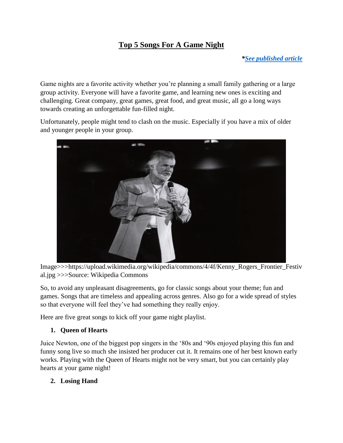# **Top 5 Songs For A Game Night**

*[\\*See published article](http://www.6towns.co.uk/2017/01/top-songs-game-night/)*

Game nights are a favorite activity whether you're planning a small family gathering or a large group activity. Everyone will have a favorite game, and learning new ones is exciting and challenging. Great company, great games, great food, and great music, all go a long ways towards creating an unforgettable fun-filled night.

Unfortunately, people might tend to clash on the music. Especially if you have a mix of older and younger people in your group.



Image>>>https://upload.wikimedia.org/wikipedia/commons/4/4f/Kenny\_Rogers\_Frontier\_Festiv al.jpg >>>Source: Wikipedia Commons

So, to avoid any unpleasant disagreements, go for classic songs about your theme; fun and games. Songs that are timeless and appealing across genres. Also go for a wide spread of styles so that everyone will feel they've had something they really enjoy.

Here are five great songs to kick off your game night playlist.

## **1. Queen of Hearts**

Juice Newton, one of the biggest pop singers in the '80s and '90s enjoyed playing this fun and funny song live so much she insisted her producer cut it. It remains one of her best known early works. Playing with the Queen of Hearts might not be very smart, but you can certainly play hearts at your game night!

## **2. Losing Hand**